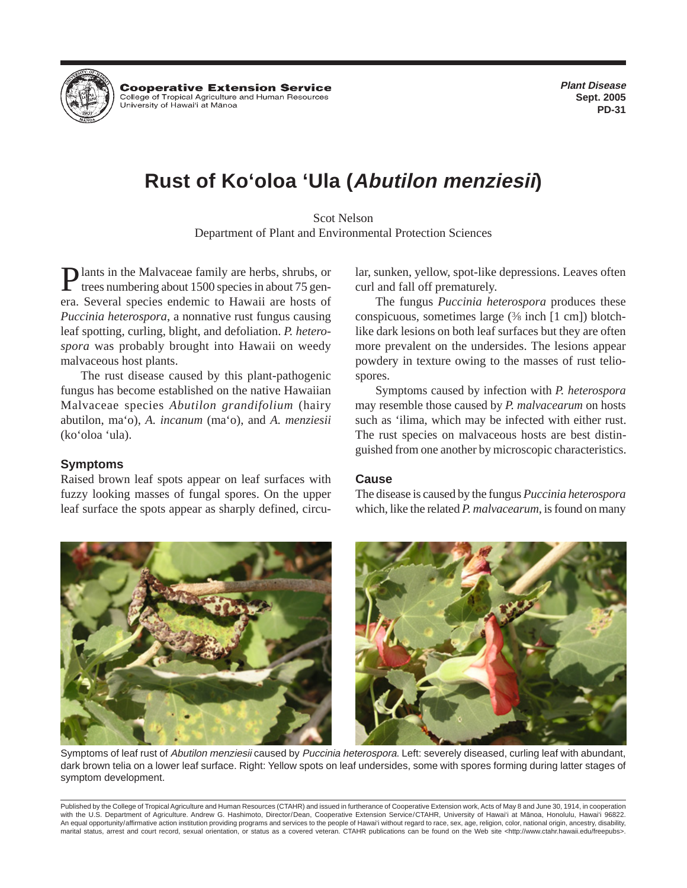

**Cooperative Extension Service** College of Tropical Agriculture and Human Resources University of Hawai'i at Mānoa

**Plant Disease Sept. 2005 PD-31**

# **Rust of Ko'oloa 'Ula (Abutilon menziesii)**

Scot Nelson Department of Plant and Environmental Protection Sciences

Plants in the Malvaceae family are herbs, shrubs, or<br>trees numbering about 1500 species in about 75 genera. Several species endemic to Hawaii are hosts of *Puccinia heterospora*, a nonnative rust fungus causing leaf spotting, curling, blight, and defoliation. *P. heterospora* was probably brought into Hawaii on weedy malvaceous host plants.

The rust disease caused by this plant-pathogenic fungus has become established on the native Hawaiian Malvaceae species *Abutilon grandifolium* (hairy abutilon, ma'o), *A. incanum* (ma'o), and *A. menziesii* (ko'oloa 'ula).

#### **Symptoms**

Raised brown leaf spots appear on leaf surfaces with fuzzy looking masses of fungal spores. On the upper leaf surface the spots appear as sharply defined, circular, sunken, yellow, spot-like depressions. Leaves often curl and fall off prematurely.

The fungus *Puccinia heterospora* produces these conspicuous, sometimes large (3 ⁄8 inch [1 cm]) blotchlike dark lesions on both leaf surfaces but they are often more prevalent on the undersides. The lesions appear powdery in texture owing to the masses of rust teliospores.

Symptoms caused by infection with *P. heterospora* may resemble those caused by *P. malvacearum* on hosts such as 'ilima, which may be infected with either rust. The rust species on malvaceous hosts are best distinguished from one another by microscopic characteristics.

## **Cause**

The disease is caused by the fungus *Puccinia heterospora* which, like the related *P. malvacearum*, is found on many



Symptoms of leaf rust of Abutilon menziesii caused by Puccinia heterospora. Left: severely diseased, curling leaf with abundant, dark brown telia on a lower leaf surface. Right: Yellow spots on leaf undersides, some with spores forming during latter stages of symptom development.

Published by the College of Tropical Agriculture and Human Resources (CTAHR) and issued in furtherance of Cooperative Extension work, Acts of May 8 and June 30, 1914, in cooperation with the U.S. Department of Agriculture. Andrew G. Hashimoto, Director/Dean, Cooperative Extension Service/CTAHR, University of Hawai'i at Manoa, Honolulu, Hawai'i 96822. An equal opportunity/affirmative action institution providing programs and services to the people of Hawai'i without regard to race, sex, age, religion, color, national origin, ancestry, disability, marital status, arrest and court record, sexual orientation, or status as a covered veteran. CTAHR publications can be found on the Web site <http://www.ctahr.hawaii.edu/freepubs>.